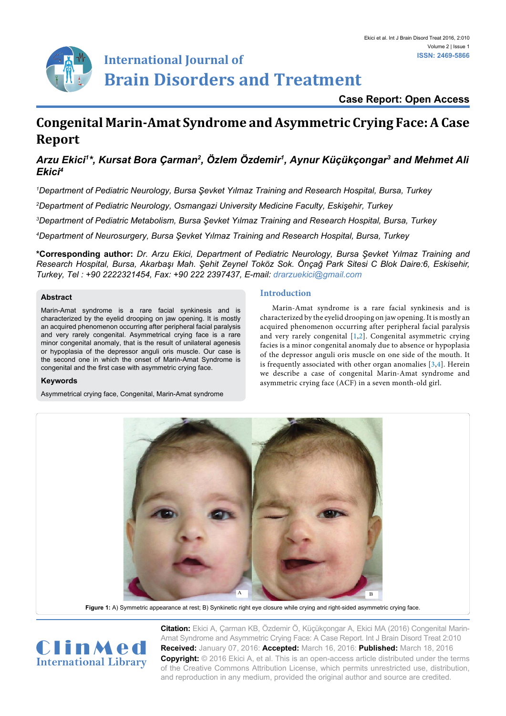# **Case Report: Open Access**

# **Congenital Marin-Amat Syndrome and Asymmetric Crying Face: A Case Report**

# Arzu Ekici<sup>1\*</sup>, Kursat Bora Çarman<sup>2</sup>, Ozlem Ozdemir<sup>1</sup>, Aynur Küçükçongar<sup>3</sup> and Mehmet Ali *Ekici4*

*1 Department of Pediatric Neurology, Bursa Şevket Yılmaz Training and Research Hospital, Bursa, Turkey*

*2 Department of Pediatric Neurology, Osmangazi University Medicine Faculty, Eskişehir, Turkey*

*3 Department of Pediatric Metabolism, Bursa Şevket Yılmaz Training and Research Hospital, Bursa, Turkey*

*4 Department of Neurosurgery, Bursa Şevket Yılmaz Training and Research Hospital, Bursa, Turkey*

**\*Corresponding author:** *Dr. Arzu Ekici, Department of Pediatric Neurology, Bursa Şevket Yılmaz Training and Research Hospital, Bursa, Akarbaşı Mah. Şehit Zeynel Toköz Sok. Önçağ Park Sitesi C Blok Daire:6, Eskisehir, Turkey, Tel : +90 2222321454, Fax: +90 222 2397437, E-mail: drarzuekici@gmail.com*

## **Abstract**

Marin-Amat syndrome is a rare facial synkinesis and is characterized by the eyelid drooping on jaw opening. It is mostly an acquired phenomenon occurring after peripheral facial paralysis and very rarely congenital. Asymmetrical crying face is a rare minor congenital anomaly, that is the result of unilateral agenesis or hypoplasia of the depressor anguli oris muscle. Our case is the second one in which the onset of Marin-Amat Syndrome is congenital and the first case with asymmetric crying face.

## **Keywords**

Asymmetrical crying face, Congenital, Marin-Amat syndrome

## **Introduction**

Marin-Amat syndrome is a rare facial synkinesis and is characterized by the eyelid drooping on jaw opening. It is mostly an acquired phenomenon occurring after peripheral facial paralysis and very rarely congenital [[1](#page-1-0)[,2\]](#page-1-1). Congenital asymmetric crying facies is a minor congenital anomaly due to absence or hypoplasia of the depressor anguli oris muscle on one side of the mouth. It is frequently associated with other organ anomalies [\[3,](#page-1-2)[4\]](#page-1-3). Herein we describe a case of congenital Marin-Amat syndrome and asymmetric crying face (ACF) in a seven month-old girl.

<span id="page-0-0"></span>

**Figure 1:** A) Symmetric appearance at rest; B) Synkinetic right eye closure while crying and right-sided asymmetric crying face.



**Citation:** Ekici A, Çarman KB, Özdemir Ö, Küçükçongar A, Ekici MA (2016) Congenital Marin-Amat Syndrome and Asymmetric Crying Face: A Case Report. Int J Brain Disord Treat 2:010 **Received:** January 07, 2016: **Accepted:** March 16, 2016: **Published:** March 18, 2016 **Copyright:** © 2016 Ekici A, et al. This is an open-access article distributed under the terms of the Creative Commons Attribution License, which permits unrestricted use, distribution, and reproduction in any medium, provided the original author and source are credited.